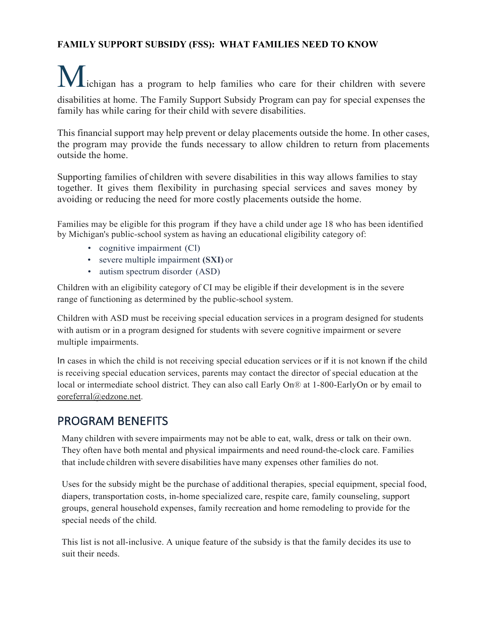## **FAMILY SUPPORT SUBSIDY (FSS): WHAT FAMILIES NEED TO KNOW**

Lichigan has a program to help families who care for their children with severe disabilities at home. The Family Support Subsidy Program can pay for special expenses the family has while caring for their child with severe disabilities.

This financial support may help prevent or delay placements outside the home. In other cases, the program may provide the funds necessary to allow children to return from placements outside the home.

Supporting families of children with severe disabilities in this way allows families to stay together. It gives them flexibility in purchasing special services and saves money by avoiding or reducing the need for more costly placements outside the home.

Families may be eligible for this program if they have a child under age 18 who has been identified by Michigan's public-school system as having an educational eligibility category of:

- cognitive impairment (Cl)
- severe multiple impairment **(SXI)** or
- autism spectrum disorder (ASD)

Children with an eligibility category of CI may be eligible if their development is in the severe range of functioning as determined by the public-school system.

Children with ASD must be receiving special education services in a program designed for students with autism or in a program designed for students with severe cognitive impairment or severe multiple impairments.

In cases in which the child is not receiving special education services or if it is not known if the child is receiving special education services, parents may contact the director of special education at the local or intermediate school district. They can also call Early On® at 1-800-EarlyOn or by email to [eoreferral@edzone.net.](mailto:eoreferral@edzone.net)

## PROGRAM BENEFITS

Many children with severe impairments may not be able to eat, walk, dress or talk on their own. They often have both mental and physical impairments and need round-the-clock care. Families that include children with severe disabilities have many expenses other families do not.

Uses for the subsidy might be the purchase of additional therapies, special equipment, special food, diapers, transportation costs, in-home specialized care, respite care, family counseling, support groups, general household expenses, family recreation and home remodeling to provide for the special needs of the child.

This list is not all-inclusive. A unique feature of the subsidy is that the family decides its use to suit their needs.